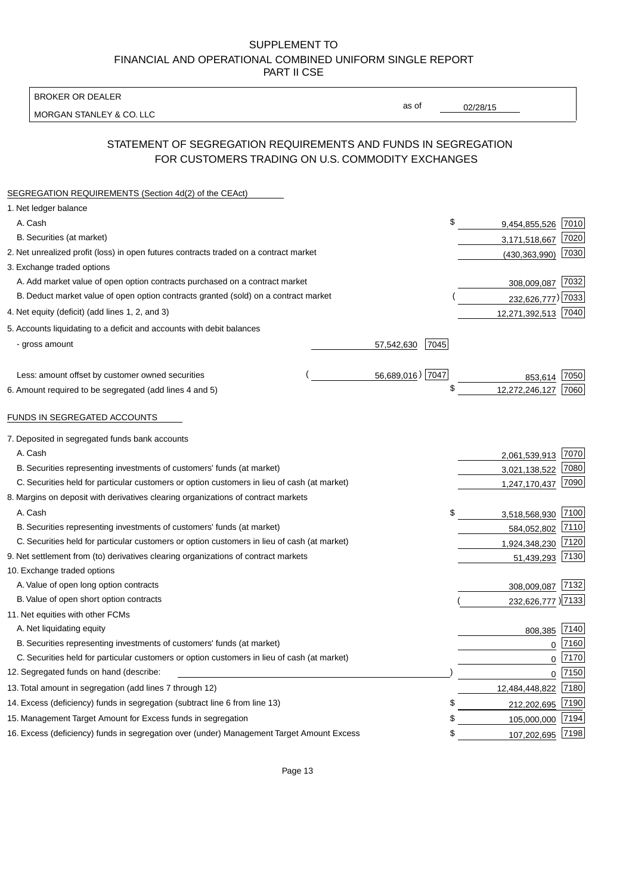BROKER OR DEALER

MORGAN STANLEY & CO. LLC

02/28/15

as of

# STATEMENT OF SEGREGATION REQUIREMENTS AND FUNDS IN SEGREGATION FOR CUSTOMERS TRADING ON U.S. COMMODITY EXCHANGES

| SEGREGATION REQUIREMENTS (Section 4d(2) of the CEAct)                                       |                    |                     |      |
|---------------------------------------------------------------------------------------------|--------------------|---------------------|------|
| 1. Net ledger balance                                                                       |                    |                     |      |
| A. Cash                                                                                     | \$                 | 9,454,855,526       | 7010 |
| B. Securities (at market)                                                                   |                    | 3,171,518,667       | 7020 |
| 2. Net unrealized profit (loss) in open futures contracts traded on a contract market       |                    | (430, 363, 990)     | 7030 |
| 3. Exchange traded options                                                                  |                    |                     |      |
| A. Add market value of open option contracts purchased on a contract market                 |                    | 308,009,087 7032    |      |
| B. Deduct market value of open option contracts granted (sold) on a contract market         |                    | 232,626,777) 7033   |      |
| 4. Net equity (deficit) (add lines 1, 2, and 3)                                             |                    | 12,271,392,513 7040 |      |
| 5. Accounts liquidating to a deficit and accounts with debit balances                       |                    |                     |      |
| - gross amount                                                                              | 7045<br>57,542,630 |                     |      |
|                                                                                             |                    |                     |      |
| Less: amount offset by customer owned securities                                            | 56,689,016) 7047   | 853,614             | 7050 |
| 6. Amount required to be segregated (add lines 4 and 5)                                     | \$                 | 12,272,246,127      | 7060 |
| FUNDS IN SEGREGATED ACCOUNTS                                                                |                    |                     |      |
|                                                                                             |                    |                     |      |
| 7. Deposited in segregated funds bank accounts                                              |                    |                     |      |
| A. Cash                                                                                     |                    | 2,061,539,913       | 7070 |
| B. Securities representing investments of customers' funds (at market)                      |                    | 3,021,138,522       | 7080 |
| C. Securities held for particular customers or option customers in lieu of cash (at market) |                    | 1,247,170,437       | 7090 |
| 8. Margins on deposit with derivatives clearing organizations of contract markets           |                    |                     |      |
| A. Cash                                                                                     | \$                 | 3,518,568,930       | 7100 |
| B. Securities representing investments of customers' funds (at market)                      |                    | 584,052,802         | 7110 |
| C. Securities held for particular customers or option customers in lieu of cash (at market) |                    | 1,924,348,230       | 7120 |
| 9. Net settlement from (to) derivatives clearing organizations of contract markets          |                    | 51,439,293          | 7130 |
| 10. Exchange traded options                                                                 |                    |                     |      |
| A. Value of open long option contracts                                                      |                    | 308,009,087         | 7132 |
| B. Value of open short option contracts                                                     |                    | 232,626,777 ) 7133  |      |
| 11. Net equities with other FCMs                                                            |                    |                     |      |
| A. Net liquidating equity                                                                   |                    | 808,385             | 7140 |
| B. Securities representing investments of customers' funds (at market)                      |                    | $\Omega$            | 7160 |
| C. Securities held for particular customers or option customers in lieu of cash (at market) |                    | $\mathbf 0$         | 7170 |
| 12. Segregated funds on hand (describe:                                                     |                    | $\mathbf{0}$        | 7150 |
| 13. Total amount in segregation (add lines 7 through 12)                                    |                    | 12,484,448,822 7180 |      |
| 14. Excess (deficiency) funds in segregation (subtract line 6 from line 13)                 | \$                 | 212,202,695         | 7190 |
| 15. Management Target Amount for Excess funds in segregation                                | \$                 | 105,000,000         | 7194 |
| 16. Excess (deficiency) funds in segregation over (under) Management Target Amount Excess   | \$                 | 107,202,695         | 7198 |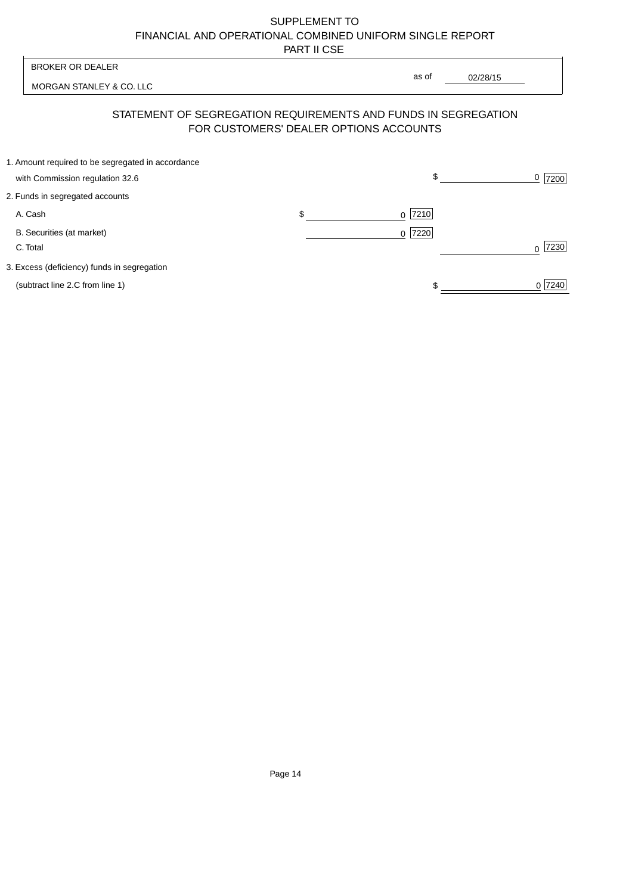| <b>BROKER OR DEALER</b>                                                              |                                        | as of                                                          |                  |
|--------------------------------------------------------------------------------------|----------------------------------------|----------------------------------------------------------------|------------------|
| MORGAN STANLEY & CO. LLC                                                             |                                        | 02/28/15                                                       |                  |
|                                                                                      | FOR CUSTOMERS' DEALER OPTIONS ACCOUNTS | STATEMENT OF SEGREGATION REQUIREMENTS AND FUNDS IN SEGREGATION |                  |
| 1. Amount required to be segregated in accordance<br>with Commission regulation 32.6 |                                        | \$                                                             | 0<br>7200        |
| 2. Funds in segregated accounts                                                      |                                        |                                                                |                  |
| A. Cash                                                                              | \$                                     | 7210<br><sup>0</sup>                                           |                  |
| B. Securities (at market)<br>C. Total                                                |                                        | 0 7220                                                         | 7230<br>$\Omega$ |
| 3. Excess (deficiency) funds in segregation                                          |                                        |                                                                |                  |
| (subtract line 2.C from line 1)                                                      |                                        |                                                                | 0 7240           |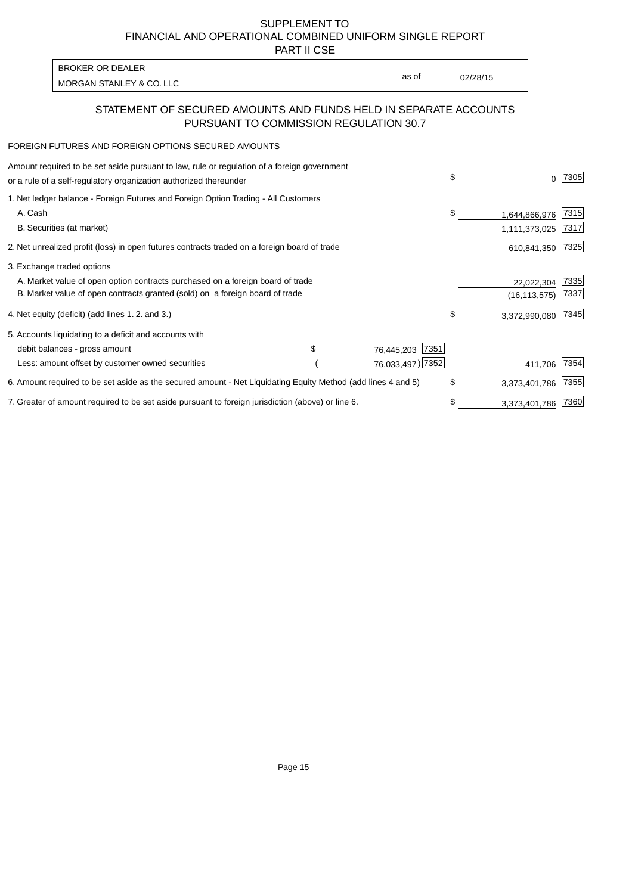PART II CSE

MORGAN STANLEY & CO. LLC and the contract of the contract of the contract of the contract of the contract of the contract of the contract of the contract of the contract of the contract of the contract of the contract of t BROKER OR DEALER

as of

## STATEMENT OF SECURED AMOUNTS AND FUNDS HELD IN SEPARATE ACCOUNTS PURSUANT TO COMMISSION REGULATION 30.7

#### FOREIGN FUTURES AND FOREIGN OPTIONS SECURED AMOUNTS

| Amount required to be set aside pursuant to law, rule or regulation of a foreign government<br>or a rule of a self-regulatory organization authorized thereunder |  |                    | \$<br>0             | 7305 |
|------------------------------------------------------------------------------------------------------------------------------------------------------------------|--|--------------------|---------------------|------|
| 1. Net ledger balance - Foreign Futures and Foreign Option Trading - All Customers                                                                               |  |                    |                     |      |
| A. Cash                                                                                                                                                          |  |                    | \$<br>1,644,866,976 | 7315 |
| B. Securities (at market)                                                                                                                                        |  |                    | 1,111,373,025       | 7317 |
| 2. Net unrealized profit (loss) in open futures contracts traded on a foreign board of trade                                                                     |  |                    | 610,841,350         | 7325 |
| 3. Exchange traded options                                                                                                                                       |  |                    |                     |      |
| A. Market value of open option contracts purchased on a foreign board of trade                                                                                   |  |                    | 22,022,304          | 7335 |
| B. Market value of open contracts granted (sold) on a foreign board of trade                                                                                     |  |                    | (16, 113, 575)      | 7337 |
| 4. Net equity (deficit) (add lines 1.2. and 3.)                                                                                                                  |  |                    | \$<br>3,372,990,080 | 7345 |
| 5. Accounts liquidating to a deficit and accounts with                                                                                                           |  |                    |                     |      |
| debit balances - gross amount                                                                                                                                    |  | 7351<br>76,445,203 |                     |      |
| Less: amount offset by customer owned securities                                                                                                                 |  | 76,033,497) 7352   | 411,706             | 7354 |
| 6. Amount required to be set aside as the secured amount - Net Liquidating Equity Method (add lines 4 and 5)                                                     |  |                    | \$<br>3,373,401,786 | 7355 |
| 7. Greater of amount required to be set aside pursuant to foreign jurisdiction (above) or line 6.                                                                |  |                    | \$<br>3,373,401,786 | 7360 |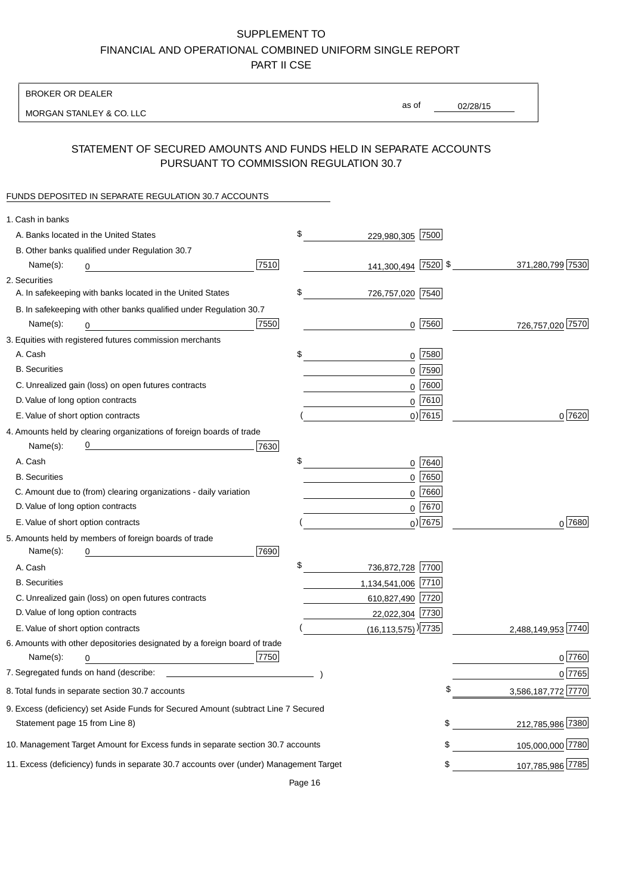BROKER OR DEALER

MORGAN STANLEY & CO. LLC

02/28/15 as of

# STATEMENT OF SECURED AMOUNTS AND FUNDS HELD IN SEPARATE ACCOUNTS PURSUANT TO COMMISSION REGULATION 30.7

### FUNDS DEPOSITED IN SEPARATE REGULATION 30.7 ACCOUNTS

| 1. Cash in banks                   |                                                                                        |      |                                      |                         |
|------------------------------------|----------------------------------------------------------------------------------------|------|--------------------------------------|-------------------------|
|                                    | A. Banks located in the United States                                                  |      | \$<br>229,980,305 7500               |                         |
|                                    | B. Other banks qualified under Regulation 30.7                                         |      |                                      |                         |
| Name(s):                           | 0                                                                                      | 7510 | 141,300,494 7520 \$                  | 371,280,799 7530        |
| 2. Securities                      |                                                                                        |      |                                      |                         |
|                                    | A. In safekeeping with banks located in the United States                              |      | \$<br>726,757,020 7540               |                         |
|                                    | B. In safekeeping with other banks qualified under Regulation 30.7                     |      |                                      |                         |
| Name(s):                           | 0                                                                                      | 7550 | $0$  7560                            | 726,757,020 7570        |
|                                    | 3. Equities with registered futures commission merchants                               |      |                                      |                         |
| A. Cash                            |                                                                                        |      | \$<br>$0$   7580                     |                         |
| <b>B.</b> Securities               |                                                                                        |      | $0$ 7590                             |                         |
|                                    | C. Unrealized gain (loss) on open futures contracts                                    |      | $0$ 7600                             |                         |
| D. Value of long option contracts  |                                                                                        |      | 0 7610                               |                         |
| E. Value of short option contracts |                                                                                        |      | $0)$ 7615                            | 0 7620                  |
|                                    | 4. Amounts held by clearing organizations of foreign boards of trade                   |      |                                      |                         |
| Name(s):                           |                                                                                        | 7630 |                                      |                         |
| A. Cash                            |                                                                                        |      | $0$  7640                            |                         |
| <b>B.</b> Securities               |                                                                                        |      | $0$ 7650                             |                         |
|                                    | C. Amount due to (from) clearing organizations - daily variation                       |      | $0$ 7660                             |                         |
| D. Value of long option contracts  |                                                                                        |      | 0 7670                               |                         |
| E. Value of short option contracts |                                                                                        |      | $_0$ ) 7675                          | $0^{7680}$              |
|                                    | 5. Amounts held by members of foreign boards of trade                                  |      |                                      |                         |
| Name(s):                           |                                                                                        | 7690 |                                      |                         |
| A. Cash                            |                                                                                        |      | \$<br>736,872,728 7700               |                         |
| <b>B.</b> Securities               |                                                                                        |      | 1,134,541,006 7710                   |                         |
|                                    | C. Unrealized gain (loss) on open futures contracts                                    |      | 610,827,490 7720                     |                         |
| D. Value of long option contracts  |                                                                                        |      | 22,022,304 7730                      |                         |
| E. Value of short option contracts |                                                                                        |      | $(16, 113, 575)$ <sup>)</sup> [7735] | 2,488,149,953 7740      |
|                                    | 6. Amounts with other depositories designated by a foreign board of trade              |      |                                      |                         |
| Name(s):                           | 0                                                                                      | 7750 |                                      | $0$ 7760                |
|                                    |                                                                                        |      |                                      | 0 7765                  |
|                                    | 8. Total funds in separate section 30.7 accounts                                       |      |                                      | ፍ<br>3,586,187,772 7770 |
|                                    | 9. Excess (deficiency) set Aside Funds for Secured Amount (subtract Line 7 Secured     |      |                                      |                         |
| Statement page 15 from Line 8)     |                                                                                        |      |                                      | \$<br>212,785,986 7380  |
|                                    | 10. Management Target Amount for Excess funds in separate section 30.7 accounts        |      |                                      | \$<br>105,000,000 7780  |
|                                    | 11. Excess (deficiency) funds in separate 30.7 accounts over (under) Management Target |      |                                      | \$<br>107,785,986 7785  |
|                                    |                                                                                        |      |                                      |                         |